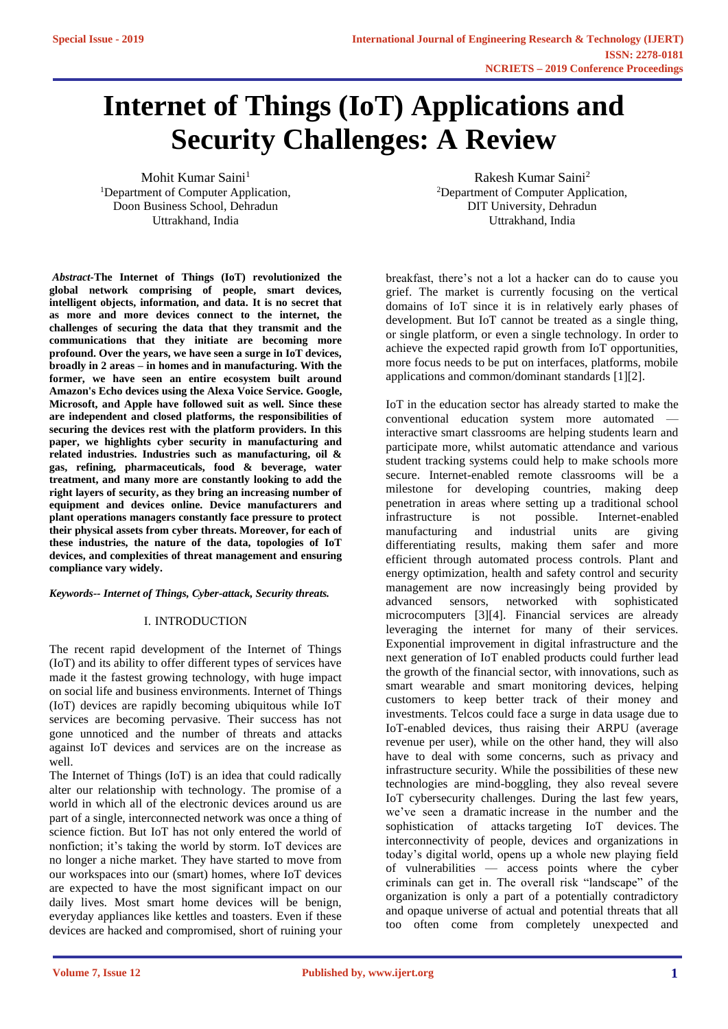# **Internet of Things (IoT) Applications and Security Challenges: A Review**

Mohit Kumar Saini<sup>1</sup> <sup>1</sup>Department of Computer Application, Doon Business School, Dehradun Uttrakhand, India

*Abstract-***The Internet of Things (IoT) revolutionized the global network comprising of people, smart devices, intelligent objects, information, and data. It is no secret that as more and more devices connect to the internet, the challenges of securing the data that they transmit and the communications that they initiate are becoming more profound. Over the years, we have seen a surge in IoT devices, broadly in 2 areas – in homes and in manufacturing. With the former, we have seen an entire ecosystem built around Amazon's Echo devices using the Alexa Voice Service. Google, Microsoft, and Apple have followed suit as well. Since these are independent and closed platforms, the responsibilities of securing the devices rest with the platform providers. In this paper, we highlights cyber security in manufacturing and related industries. Industries such as manufacturing, oil & gas, refining, pharmaceuticals, food & beverage, water treatment, and many more are constantly looking to add the right layers of security, as they bring an increasing number of equipment and devices online. Device manufacturers and plant operations managers constantly face pressure to protect their physical assets from cyber threats. Moreover, for each of these industries, the nature of the data, topologies of IoT devices, and complexities of threat management and ensuring compliance vary widely.**

## *Keywords-- Internet of Things, Cyber-attack, Security threats.*

## I. INTRODUCTION

The recent rapid development of the Internet of Things (IoT) and its ability to offer different types of services have made it the fastest growing technology, with huge impact on social life and business environments. Internet of Things (IoT) devices are rapidly becoming ubiquitous while IoT services are becoming pervasive. Their success has not gone unnoticed and the number of threats and attacks against IoT devices and services are on the increase as well.

The Internet of Things (IoT) is an idea that could radically alter our relationship with technology. The promise of a world in which all of the electronic devices around us are part of a single, interconnected network was once a thing of science fiction. But IoT has not only entered the world of nonfiction; it's taking the world by storm. IoT devices are no longer a niche market. They have started to move from our workspaces into our (smart) homes, where IoT devices are expected to have the most significant impact on our daily lives. Most smart home devices will be benign, everyday appliances like kettles and toasters. Even if these devices are hacked and compromised, short of ruining your

Rakesh Kumar Saini<sup>2</sup> <sup>2</sup>Department of Computer Application, DIT University, Dehradun Uttrakhand, India

breakfast, there's not a lot a hacker can do to cause you grief. The market is currently focusing on the vertical domains of IoT since it is in relatively early phases of development. But IoT cannot be treated as a single thing, or single platform, or even a single technology. In order to achieve the expected rapid growth from IoT opportunities, more focus needs to be put on interfaces, platforms, mobile applications and common/dominant standards [1][2].

IoT in the education sector has already started to make the conventional education system more automated interactive smart classrooms are helping students learn and participate more, whilst automatic attendance and various student tracking systems could help to make schools more secure. Internet-enabled remote classrooms will be a milestone for developing countries, making deep penetration in areas where setting up a traditional school infrastructure is not possible. Internet-enabled manufacturing and industrial units are giving differentiating results, making them safer and more efficient through automated process controls. Plant and energy optimization, health and safety control and security management are now increasingly being provided by advanced sensors, networked with sophisticated microcomputers [3][4]. Financial services are already leveraging the internet for many of their services. Exponential improvement in digital infrastructure and the next generation of IoT enabled products could further lead the growth of the financial sector, with innovations, such as smart wearable and smart monitoring devices, helping customers to keep better track of their money and investments. Telcos could face a surge in data usage due to IoT-enabled devices, thus raising their ARPU (average revenue per user), while on the other hand, they will also have to deal with some concerns, such as privacy and infrastructure security. While the possibilities of these new technologies are mind-boggling, they also reveal severe IoT cybersecurity challenges. During the last few years, we've seen a dramatic [increase in the number and the](https://www.fortinet.com/blog/threat-research/swarming-iot-attacks--cryptojacking--and-ransomware-drive-dramat.html)  [sophistication of attacks](https://www.fortinet.com/blog/threat-research/swarming-iot-attacks--cryptojacking--and-ransomware-drive-dramat.html) targeting IoT devices. The interconnectivity of people, devices and organizations in today's digital world, opens up a whole new playing field of vulnerabilities — access points where the cyber criminals can get in. The overall risk "landscape" of the organization is only a part of a potentially contradictory and opaque universe of actual and potential threats that all too often come from completely unexpected and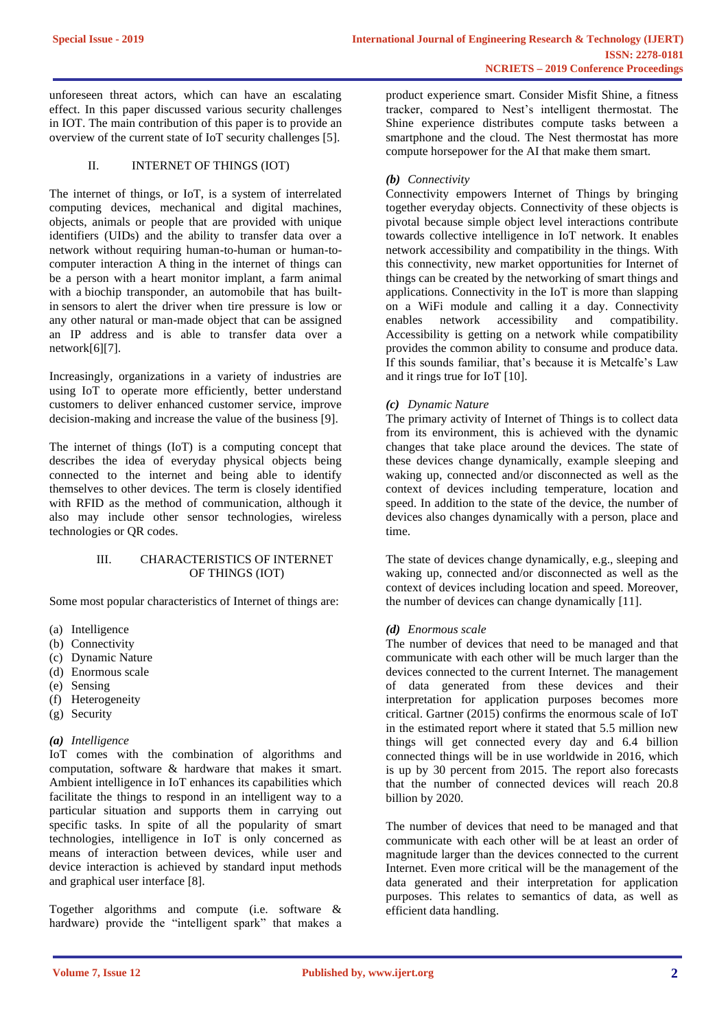unforeseen threat actors, which can have an escalating effect. In this paper discussed various security challenges in IOT. The main contribution of this paper is to provide an overview of the [current state](https://www.sciencedirect.com/topics/computer-science/current-state) of IoT security challenges [5].

# II. INTERNET OF THINGS (IOT)

The internet of things, or IoT, is a system of interrelated computing devices, mechanical and digital machines, objects, animals or people that are provided with unique identifiers [\(UIDs\)](https://internetofthingsagenda.techtarget.com/definition/unique-identifier-UID) and the ability to transfer data over a network without requiring human-to-human or human-tocomputer interaction A thing in the internet of things can be a person with a heart monitor implant, a farm animal with a biochip transponder, an automobile that has builtin sensors to alert the driver when tire pressure is low or any other natural or man-made object that can be assigned an IP address and is able to transfer data over a network[6][7].

Increasingly, organizations in a variety of industries are using IoT to operate more efficiently, better understand customers to deliver enhanced customer service, improve decision-making and increase the value of the business [9].

The internet of things (IoT) is a computing concept that describes the idea of everyday physical objects being connected to the internet and being able to identify themselves to other devices. The term is closely identified with RFID as the method of communication, although it also may include other sensor technologies, wireless technologies or QR codes.

# III. CHARACTERISTICS OF INTERNET OF THINGS (IOT)

Some most popular characteristics of Internet of things are:

- (a) Intelligence
- (b) Connectivity
- (c) Dynamic Nature
- (d) Enormous scale
- (e) Sensing
- (f) Heterogeneity
- (g) Security

# *(a) Intelligence*

IoT comes with the combination of algorithms and computation, software & hardware that makes it smart. Ambient intelligence in IoT enhances its capabilities which facilitate the things to respond in an intelligent way to a particular situation and supports them in carrying out specific tasks. In spite of all the popularity of smart technologies, intelligence in IoT is only concerned as means of interaction between devices, while user and device interaction is achieved by standard input methods and graphical user interface [8].

Together algorithms and compute (i.e. software & hardware) provide the "intelligent spark" that makes a product experience smart. Consider Misfit Shine, a fitness tracker, compared to Nest's intelligent thermostat. The Shine experience distributes compute tasks between a smartphone and the cloud. The Nest thermostat has more compute horsepower for the AI that make them smart.

# *(b) Connectivity*

Connectivity empowers Internet of Things by bringing together everyday objects. Connectivity of these objects is pivotal because simple object level interactions contribute towards collective intelligence in IoT network. It enables network accessibility and compatibility in the things. With this connectivity, new market opportunities for Internet of things can be created by the networking of smart things and applications. Connectivity in the IoT is more than slapping on a WiFi module and calling it a day. Connectivity enables network accessibility and compatibility. Accessibility is getting on a network while compatibility provides the common ability to consume and produce data. If this sounds familiar, that's because it is Metcalfe's Law and it rings true for IoT [10].

# *(c) Dynamic Nature*

The primary activity of Internet of Things is to collect data from its environment, this is achieved with the dynamic changes that take place around the devices. The state of these devices change dynamically, example sleeping and waking up, connected and/or disconnected as well as the context of devices including temperature, location and speed. In addition to the state of the device, the number of devices also changes dynamically with a person, place and time.

The state of devices change dynamically, e.g., sleeping and waking up, connected and/or disconnected as well as the context of devices including location and speed. Moreover, the number of devices can change dynamically [11].

# *(d) Enormous scale*

The number of devices that need to be managed and that communicate with each other will be much larger than the devices connected to the current Internet. The management of data generated from these devices and their interpretation for application purposes becomes more critical. Gartner (2015) confirms the enormous scale of IoT in the estimated report where it stated that 5.5 million new things will get connected every day and 6.4 billion connected things will be in use worldwide in 2016, which is up by 30 percent from 2015. The report also forecasts that the number of connected devices will reach 20.8 billion by 2020.

The number of devices that need to be managed and that communicate with each other will be at least an order of magnitude larger than the devices connected to the current Internet. Even more critical will be the management of the data generated and their interpretation for application purposes. This relates to semantics of data, as well as efficient data handling.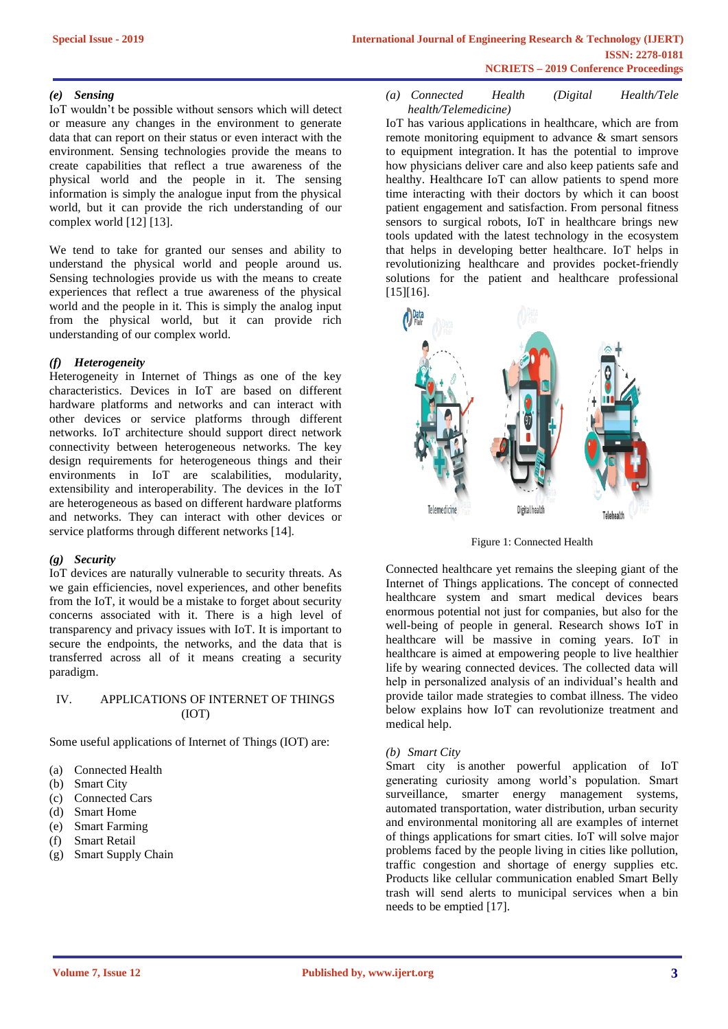# *(e) Sensing*

IoT wouldn't be possible without sensors which will detect or measure any changes in the environment to generate data that can report on their status or even interact with the environment. Sensing technologies provide the means to create capabilities that reflect a true awareness of the physical world and the people in it. The sensing information is simply the analogue input from the physical world, but it can provide the rich understanding of our complex world [12] [13].

We tend to take for granted our senses and ability to understand the physical world and people around us. Sensing technologies provide us with the means to create experiences that reflect a true awareness of the physical world and the people in it. This is simply the analog input from the physical world, but it can provide rich understanding of our complex world.

# *(f) Heterogeneity*

Heterogeneity in Internet of Things as one of the key characteristics. Devices in IoT are based on different hardware platforms and networks and can interact with other devices or service platforms through different networks. IoT architecture should support direct network connectivity between heterogeneous networks. The key design requirements for heterogeneous things and their environments in IoT are scalabilities, modularity, extensibility and interoperability. The devices in the IoT are heterogeneous as based on different hardware platforms and networks. They can interact with other devices or service platforms through different networks [14].

# *(g) Security*

IoT devices are naturally vulnerable to security threats. As we gain efficiencies, novel experiences, and other benefits from the IoT, it would be a mistake to forget about security concerns associated with it. There is a high level of transparency and privacy issues with IoT. It is important to secure the endpoints, the networks, and the data that is transferred across all of it means creating a security paradigm.

# IV. APPLICATIONS OF INTERNET OF THINGS (IOT)

Some useful applications of Internet of Things (IOT) are:

- (a) Connected Health
- (b) Smart City
- (c) Connected Cars
- (d) Smart Home
- (e) Smart Farming
- (f) Smart Retail
- (g) Smart Supply Chain

*(a) Connected Health (Digital Health/Tele health/Telemedicine)*

IoT has various [applications in healthcare,](https://data-flair.training/blogs/iot-applications-in-healthcare/) which are from remote monitoring equipment to advance & smart sensors to equipment integration. It has the potential to improve how physicians deliver care and also keep patients safe and healthy. Healthcare IoT can allow patients to spend more time interacting with their doctors by which it can boost patient engagement and satisfaction. From personal fitness sensors to surgical robots, IoT in healthcare brings new tools updated with the latest technology in the ecosystem that helps in developing better healthcare. IoT helps in revolutionizing healthcare and provides pocket-friendly solutions for the patient and healthcare professional [15][16].



Figure 1: Connected Health

Connected healthcare yet remains the sleeping giant of the Internet of Things applications. The concept of connected healthcare system and smart medical devices bears enormous potential not just for companies, but also for the well-being of people in general. Research shows IoT in healthcare will be massive in coming years. IoT in healthcare is aimed at empowering people to live healthier life by wearing connected devices. The collected data will help in personalized analysis of an individual's health and provide tailor made strategies to combat illness. The video below explains how IoT can revolutionize treatment and medical help.

# *(b) Smart City*

Smart city is another powerful application of IoT generating curiosity among world's population. Smart surveillance, smarter energy management systems, automated transportation, water distribution, urban security and environmental monitoring all are examples of internet of things applications for smart cities. IoT will solve major problems faced by the people living in cities like pollution, traffic congestion and shortage of energy supplies etc. Products like cellular communication enabled Smart Belly trash will send alerts to municipal services when a bin needs to be emptied [17].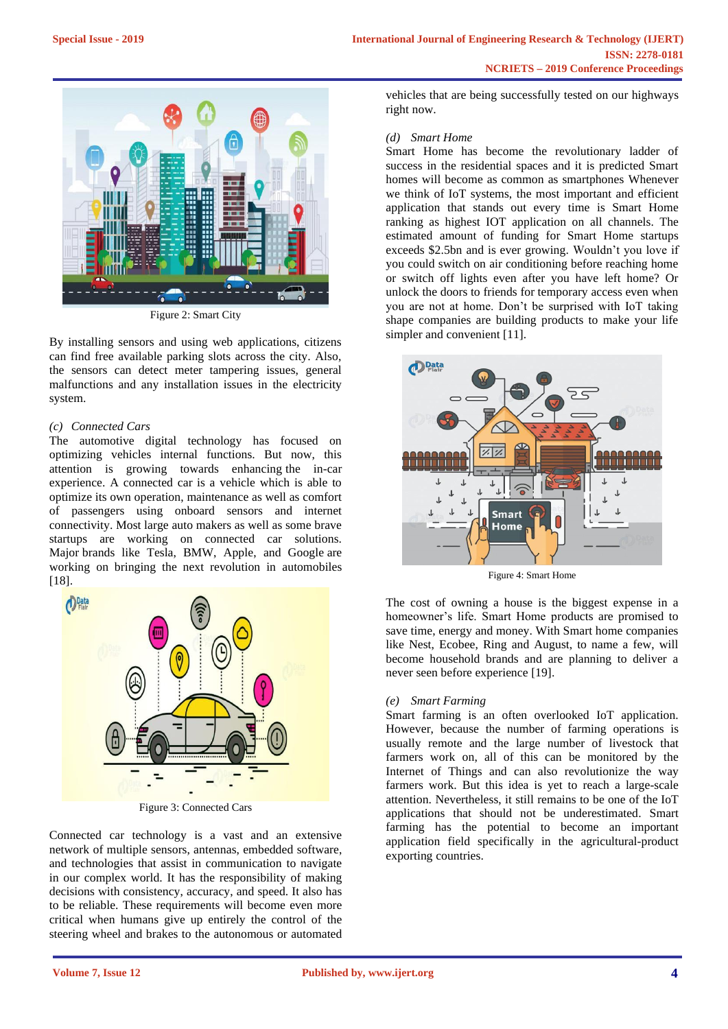

Figure 2: Smart City

By installing sensors and using web applications, citizens can find free available parking slots across the city. Also, the sensors can detect meter tampering issues, general malfunctions and any installation issues in the electricity system.

## *(c) Connected Cars*

The automotive digital technology has focused on optimizing vehicles internal functions. But now, this attention is growing towards enhancing the in-car experience. A connected car is a vehicle which is able to optimize its own operation, maintenance as well as comfort of passengers using onboard sensors and internet connectivity. Most large auto makers as well as some brave startups are working on connected car solutions. Major brands like Tesla, BMW, Apple, and Google are working on bringing the next revolution in automobiles [18].



Figure 3: Connected Cars

Connected car technology is a vast and an extensive network of multiple sensors, antennas, embedded software, and technologies that assist in communication to navigate in our complex world. It has the responsibility of making decisions with consistency, accuracy, and speed. It also has to be reliable. These requirements will become even more critical when humans give up entirely the control of the steering wheel and brakes to the autonomous or automated

vehicles that are being successfully tested on our highways right now.

#### *(d) Smart Home*

Smart Home has become the revolutionary ladder of success in the residential spaces and it is predicted Smart homes will become as common as smartphones Whenever we think of IoT systems, the most important and efficient application that stands out every time is Smart Home ranking as highest IOT application on all channels. The estimated amount of funding for Smart Home startups exceeds \$2.5bn and is ever growing. Wouldn't you love if you could switch on air conditioning before reaching home or switch off lights even after you have left home? Or unlock the doors to friends for temporary access even when you are not at home. Don't be surprised with IoT taking shape companies are building products to make your life simpler and convenient [11].



Figure 4: Smart Home

The cost of owning a house is the biggest expense in a homeowner's life. Smart Home products are promised to save time, energy and money. With Smart home companies like Nest, Ecobee, Ring and August, to name a few, will become household brands and are planning to deliver a never seen before experience [19].

## *(e) Smart Farming*

Smart farming is an often overlooked IoT application. However, because the number of farming operations is usually remote and the large number of livestock that farmers work on, all of this can be monitored by the Internet of Things and can also revolutionize the way farmers work. But this idea is yet to reach a large-scale attention. Nevertheless, it still remains to be one of the IoT applications that should not be underestimated. Smart farming has the potential to become an important application field specifically in the agricultural-product exporting countries.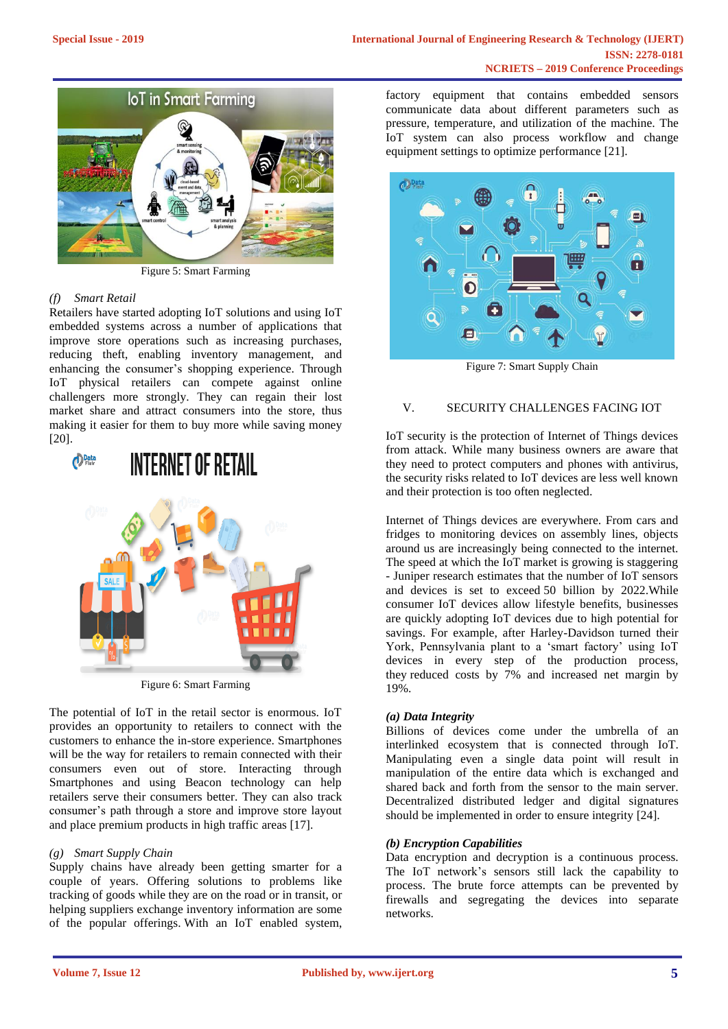

Figure 5: Smart Farming

## *(f) Smart Retail*

Retailers have started adopting IoT solutions and using IoT embedded systems across a number of applications that improve store operations such as increasing purchases, reducing theft, enabling inventory management, and enhancing the consumer's shopping experience. Through IoT physical retailers can compete against online challengers more strongly. They can regain their lost market share and attract consumers into the store, thus making it easier for them to buy more while saving money [20].



Figure 6: Smart Farming

The potential of IoT in the retail sector is enormous. IoT provides an opportunity to retailers to connect with the customers to enhance the in-store experience. Smartphones will be the way for retailers to remain connected with their consumers even out of store. Interacting through Smartphones and using Beacon technology can help retailers serve their consumers better. They can also track consumer's path through a store and improve store layout and place premium products in high traffic areas [17].

# *(g) Smart Supply Chain*

Supply chains have already been getting smarter for a couple of years. Offering solutions to problems like tracking of goods while they are on the road or in transit, or helping suppliers exchange inventory information are some of the popular offerings. With an IoT enabled system,

factory equipment that contains embedded sensors communicate data about different parameters such as pressure, temperature, and utilization of the machine. The IoT system can also process workflow and change equipment settings to optimize performance [21].



Figure 7: Smart Supply Chain

# V. SECURITY CHALLENGES FACING IOT

IoT security is the protection of Internet of Things devices from attack. While many business owners are aware that they need to protect computers and phones with antivirus, the security risks related to IoT devices are less well known and their protection is too often neglected.

Internet of Things devices are everywhere. From cars and fridges to monitoring devices on assembly lines, objects around us are increasingly being connected to the internet. The speed at which the IoT market is growing is staggering - Juniper research estimates that the number of IoT sensors and devices is set to exceed 50 billion by 2022.While consumer IoT devices allow lifestyle benefits, businesses are quickly adopting IoT devices due to high potential for savings. For example, after Harley-Davidson turned their York, Pennsylvania plant to a 'smart factory' using IoT devices in every step of the production process, they reduced costs by 7% and increased net margin by 19%.

# *(a) Data Integrity*

Billions of devices come under the umbrella of an interlinked ecosystem that is connected through IoT. Manipulating even a single data point will result in manipulation of the entire data which is exchanged and shared back and forth from the sensor to the main server. Decentralized distributed ledger and digital signatures should be implemented in order to ensure integrity [24].

# *(b) Encryption Capabilities*

Data encryption and decryption is a continuous process. The IoT network's sensors still lack the capability to process. The brute force attempts can be prevented by firewalls and segregating the devices into separate networks.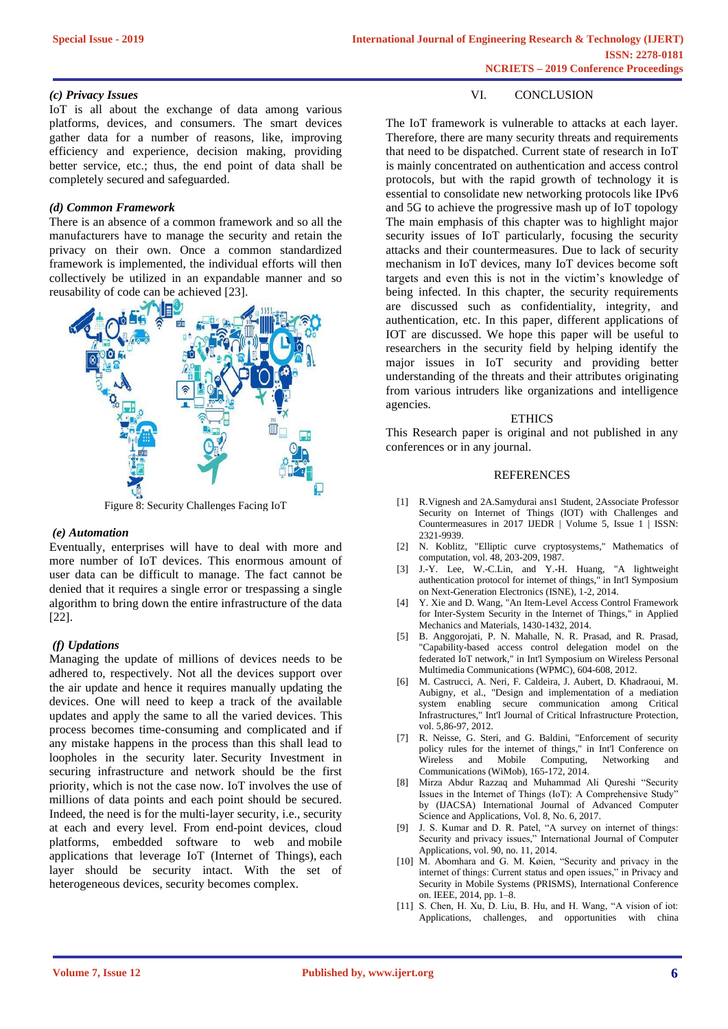# *(c) Privacy Issues*

IoT is all about the exchange of data among various platforms, devices, and consumers. The smart devices gather data for a number of reasons, like, improving efficiency and experience, decision making, providing better service, etc.; thus, the end point of data shall be completely secured and safeguarded.

## *(d) Common Framework*

There is an absence of a common framework and so all the manufacturers have to manage the security and retain the privacy on their own. Once a common standardized framework is implemented, the individual efforts will then collectively be utilized in an expandable manner and so reusability of code can be achieved [23].



Figure 8: Security Challenges Facing IoT

## *(e) Automation*

Eventually, enterprises will have to deal with more and more number of IoT devices. This enormous amount of user data can be difficult to manage. The fact cannot be denied that it requires a single error or trespassing a single algorithm to bring down the entire infrastructure of the data [22].

## *(f) Updations*

Managing the update of millions of devices needs to be adhered to, respectively. Not all the devices support over the air update and hence it requires manually updating the devices. One will need to keep a track of the available updates and apply the same to all the varied devices. This process becomes time-consuming and complicated and if any mistake happens in the process than this shall lead to loopholes in the security later. Security Investment in securing infrastructure and network should be the first priority, which is not the case now. IoT involves the use of millions of data points and each point should be secured. Indeed, the need is for the multi-layer security, i.e., security at each and every level. From end-point devices, cloud platforms, embedded software to web and mobile applications that leverage IoT (Internet of Things), each layer should be security intact. With the set of heterogeneous devices, security becomes complex.

# VI. CONCLUSION

The IoT framework is vulnerable to attacks at each layer. Therefore, there are many security threats and requirements that need to be dispatched. Current state of research in IoT is mainly concentrated on authentication and access control protocols, but with the rapid growth of technology it is essential to consolidate new networking protocols like IPv6 and 5G to achieve the progressive mash up of IoT topology The main emphasis of this chapter was to highlight major security issues of IoT particularly, focusing the security attacks and their countermeasures. Due to lack of security mechanism in IoT devices, many IoT devices become soft targets and even this is not in the victim's knowledge of being infected. In this chapter, the security requirements are discussed such as confidentiality, integrity, and authentication, etc. In this paper, different applications of IOT are discussed. We hope this paper will be useful to researchers in the security field by helping identify the major issues in IoT security and providing better understanding of the threats and their attributes originating from various intruders like organizations and intelligence agencies.

#### ETHICS

This Research paper is original and not published in any conferences or in any journal.

# REFERENCES

- [1] R.Vignesh and 2A.Samydurai ans1 Student, 2Associate Professor Security on Internet of Things (IOT) with Challenges and Countermeasures in 2017 IJEDR | Volume 5, Issue 1 | ISSN: 2321-9939.
- [2] N. Koblitz, "Elliptic curve cryptosystems," Mathematics of computation, vol. 48, 203-209, 1987.
- [3] J.-Y. Lee, W.-C.Lin, and Y.-H. Huang, "A lightweight authentication protocol for internet of things," in Int'l Symposium on Next-Generation Electronics (ISNE), 1-2, 2014.
- [4] Y. Xie and D. Wang, "An Item-Level Access Control Framework for Inter-System Security in the Internet of Things," in Applied Mechanics and Materials, 1430-1432, 2014.
- [5] B. Anggorojati, P. N. Mahalle, N. R. Prasad, and R. Prasad, "Capability-based access control delegation model on the federated IoT network," in Int'l Symposium on Wireless Personal Multimedia Communications (WPMC), 604-608, 2012.
- [6] M. Castrucci, A. Neri, F. Caldeira, J. Aubert, D. Khadraoui, M. Aubigny, et al., "Design and implementation of a mediation system enabling secure communication among Critical Infrastructures," Int'l Journal of Critical Infrastructure Protection, vol. 5,86-97, 2012.
- [7] R. Neisse, G. Steri, and G. Baldini, "Enforcement of security policy rules for the internet of things," in Int'l Conference on Wireless and Mobile Computing, Networking and Communications (WiMob), 165-172, 2014.
- [8] Mirza Abdur Razzaq and Muhammad Ali Qureshi "Security Issues in the Internet of Things (IoT): A Comprehensive Study" by (IJACSA) International Journal of Advanced Computer Science and Applications, Vol. 8, No. 6, 2017.
- [9] J. S. Kumar and D. R. Patel, "A survey on internet of things: Security and privacy issues," International Journal of Computer Applications, vol. 90, no. 11, 2014.
- [10] M. Abomhara and G. M. Køien, "Security and privacy in the internet of things: Current status and open issues," in Privacy and Security in Mobile Systems (PRISMS), International Conference on. IEEE, 2014, pp. 1–8.
- [11] S. Chen, H. Xu, D. Liu, B. Hu, and H. Wang, "A vision of iot: Applications, challenges, and opportunities with china